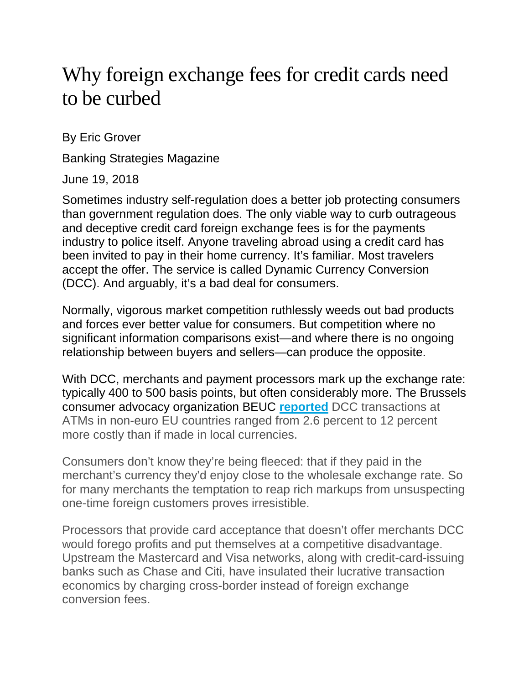## Why foreign exchange fees for credit cards need to be curbed

By Eric Grover

Banking Strategies Magazine

June 19, 2018

Sometimes industry self-regulation does a better job protecting consumers than government regulation does. The only viable way to curb outrageous and deceptive credit card foreign exchange fees is for the payments industry to police itself. Anyone traveling abroad using a credit card has been invited to pay in their home currency. It's familiar. Most travelers accept the offer. The service is called Dynamic Currency Conversion (DCC). And arguably, it's a bad deal for consumers.

Normally, vigorous market competition ruthlessly weeds out bad products and forces ever better value for consumers. But competition where no significant information comparisons exist—and where there is no ongoing relationship between buyers and sellers—can produce the opposite.

With DCC, merchants and payment processors mark up the exchange rate: typically 400 to 500 basis points, but often considerably more. The Brussels consumer advocacy organization BEUC **[reported](https://www.bai.org/banking-strategies/article-detail/www.beuc.eu/publications/beuc-x-2017-118_dynamic_currency_conversion_position_paper.pdf)** DCC transactions at ATMs in non-euro EU countries ranged from 2.6 percent to 12 percent more costly than if made in local currencies.

Consumers don't know they're being fleeced: that if they paid in the merchant's currency they'd enjoy close to the wholesale exchange rate. So for many merchants the temptation to reap rich markups from unsuspecting one-time foreign customers proves irresistible.

Processors that provide card acceptance that doesn't offer merchants DCC would forego profits and put themselves at a competitive disadvantage. Upstream the Mastercard and Visa networks, along with credit-card-issuing banks such as Chase and Citi, have insulated their lucrative transaction economics by charging cross-border instead of foreign exchange conversion fees.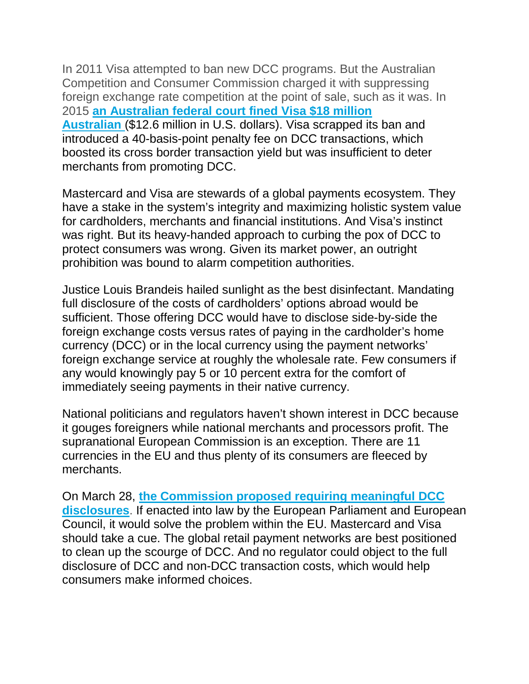In 2011 Visa attempted to ban new DCC programs. But the Australian Competition and Consumer Commission charged it with suppressing foreign exchange rate competition at the point of sale, such as it was. In 2015 **[an Australian federal court fined Visa \\$18 million](https://www.accc.gov.au/media-release/visa-ordered-to-pay-18-million-penalty-for-anti-competitive-conduct-following-accc-action)  [Australian](https://www.accc.gov.au/media-release/visa-ordered-to-pay-18-million-penalty-for-anti-competitive-conduct-following-accc-action)** (\$12.6 million in U.S. dollars). Visa scrapped its ban and introduced a 40-basis-point penalty fee on DCC transactions, which boosted its cross border transaction yield but was insufficient to deter merchants from promoting DCC.

Mastercard and Visa are stewards of a global payments ecosystem. They have a stake in the system's integrity and maximizing holistic system value for cardholders, merchants and financial institutions. And Visa's instinct was right. But its heavy-handed approach to curbing the pox of DCC to protect consumers was wrong. Given its market power, an outright prohibition was bound to alarm competition authorities.

Justice Louis Brandeis hailed sunlight as the best disinfectant. Mandating full disclosure of the costs of cardholders' options abroad would be sufficient. Those offering DCC would have to disclose side-by-side the foreign exchange costs versus rates of paying in the cardholder's home currency (DCC) or in the local currency using the payment networks' foreign exchange service at roughly the wholesale rate. Few consumers if any would knowingly pay 5 or 10 percent extra for the comfort of immediately seeing payments in their native currency.

National politicians and regulators haven't shown interest in DCC because it gouges foreigners while national merchants and processors profit. The supranational European Commission is an exception. There are 11 currencies in the EU and thus plenty of its consumers are fleeced by merchants.

On March 28, **[the Commission proposed requiring meaningful DCC](https://ec.europa.eu/info/publications/180328-proposal-cross-border-payments_en)  [disclosures](https://ec.europa.eu/info/publications/180328-proposal-cross-border-payments_en)**. If enacted into law by the European Parliament and European Council, it would solve the problem within the EU. Mastercard and Visa should take a cue. The global retail payment networks are best positioned to clean up the scourge of DCC. And no regulator could object to the full disclosure of DCC and non-DCC transaction costs, which would help consumers make informed choices.